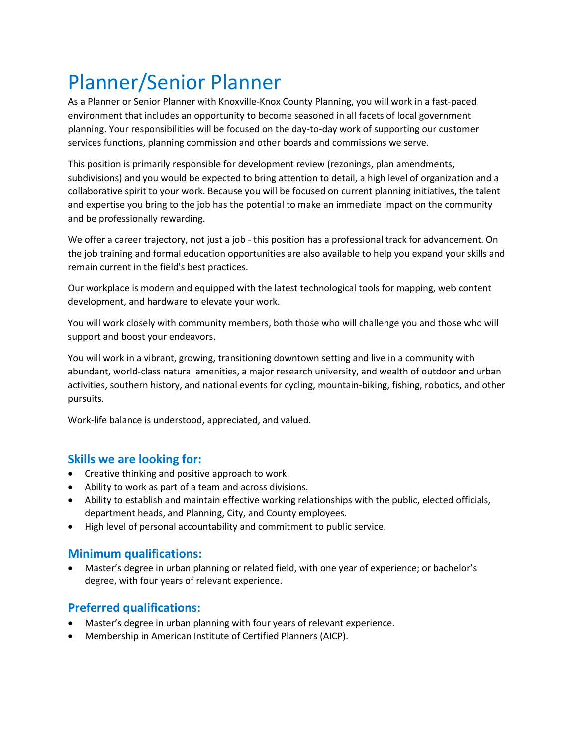# Planner/Senior Planner

As a Planner or Senior Planner with Knoxville-Knox County Planning, you will work in a fast-paced environment that includes an opportunity to become seasoned in all facets of local government planning. Your responsibilities will be focused on the day-to-day work of supporting our customer services functions, planning commission and other boards and commissions we serve.

This position is primarily responsible for development review (rezonings, plan amendments, subdivisions) and you would be expected to bring attention to detail, a high level of organization and a collaborative spirit to your work. Because you will be focused on current planning initiatives, the talent and expertise you bring to the job has the potential to make an immediate impact on the community and be professionally rewarding.

We offer a career trajectory, not just a job - this position has a professional track for advancement. On the job training and formal education opportunities are also available to help you expand your skills and remain current in the field's best practices.

Our workplace is modern and equipped with the latest technological tools for mapping, web content development, and hardware to elevate your work.

You will work closely with community members, both those who will challenge you and those who will support and boost your endeavors.

You will work in a vibrant, growing, transitioning downtown setting and live in a community with abundant, world-class natural amenities, a major research university, and wealth of outdoor and urban activities, southern history, and national events for cycling, mountain-biking, fishing, robotics, and other pursuits.

Work-life balance is understood, appreciated, and valued.

## **Skills we are looking for:**

- Creative thinking and positive approach to work.
- Ability to work as part of a team and across divisions.
- Ability to establish and maintain effective working relationships with the public, elected officials, department heads, and Planning, City, and County employees.
- High level of personal accountability and commitment to public service.

## **Minimum qualifications:**

• Master's degree in urban planning or related field, with one year of experience; or bachelor's degree, with four years of relevant experience.

# **Preferred qualifications:**

- Master's degree in urban planning with four years of relevant experience.
- Membership in American Institute of Certified Planners (AICP).